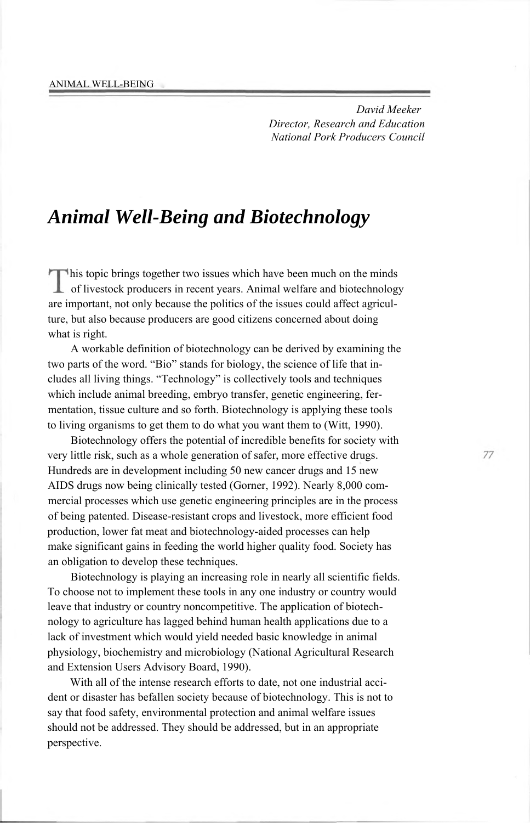*David Meeker Director, Research and Education National Pork Producers Council*

# *Animal Well-Being and Biotechnology*

his topic brings together two issues which have been much on the minds **L** of livestock producers in recent years. Animal welfare and biotechnology are important, not only because the politics of the issues could affect agriculture, but also because producers are good citizens concerned about doing what is right.

A workable definition of biotechnology can be derived by examining the two parts of the word. "Bio" stands for biology, the science of life that includes all living things. "Technology" is collectively tools and techniques which include animal breeding, embryo transfer, genetic engineering, fermentation, tissue culture and so forth. Biotechnology is applying these tools to living organisms to get them to do what you want them to (Witt, 1990).

Biotechnology offers the potential of incredible benefits for society with very little risk, such as a whole generation of safer, more effective drugs. Hundreds are in development including 50 new cancer drugs and 15 new AIDS drugs now being clinically tested (Gorner, 1992). Nearly 8,000 commercial processes which use genetic engineering principles are in the process of being patented. Disease-resistant crops and livestock, more efficient food production, lower fat meat and biotechnology-aided processes can help make significant gains in feeding the world higher quality food. Society has an obligation to develop these techniques.

Biotechnology is playing an increasing role in nearly all scientific fields. To choose not to implement these tools in any one industry or country would leave that industry or country noncompetitive. The application of biotechnology to agriculture has lagged behind human health applications due to a lack of investment which would yield needed basic knowledge in animal physiology, biochemistry and microbiology (National Agricultural Research and Extension Users Advisory Board, 1990).

With all of the intense research efforts to date, not one industrial accident or disaster has befallen society because of biotechnology. This is not to say that food safety, environmental protection and animal welfare issues should not be addressed. They should be addressed, but in an appropriate perspective.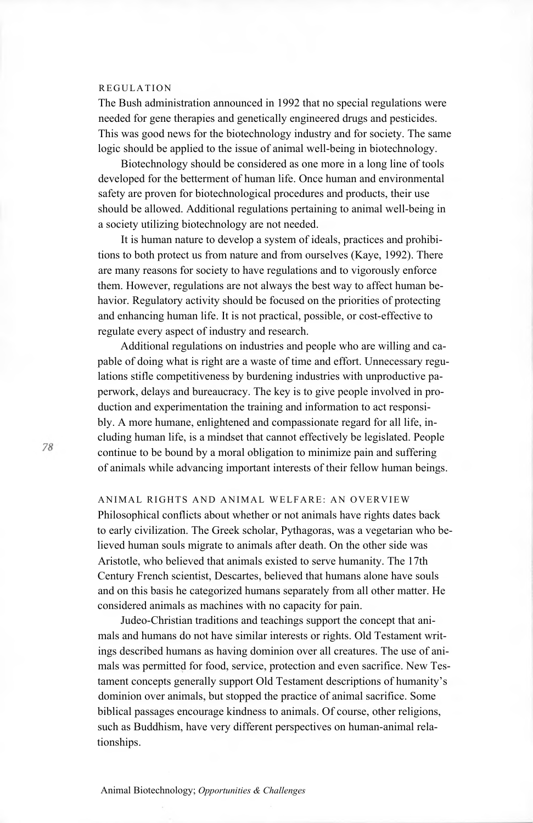## REGULATION

The Bush administration announced in 1992 that no special regulations were needed for gene therapies and genetically engineered drugs and pesticides. This was good news for the biotechnology industry and for society. The same logic should be applied to the issue of animal well-being in biotechnology.

Biotechnology should be considered as one more in a long line of tools developed for the betterment of human life. Once human and environmental safety are proven for biotechnological procedures and products, their use should be allowed. Additional regulations pertaining to animal well-being in a society utilizing biotechnology are not needed.

It is human nature to develop a system of ideals, practices and prohibitions to both protect us from nature and from ourselves (Kaye, 1992). There are many reasons for society to have regulations and to vigorously enforce them. However, regulations are not always the best way to affect human behavior. Regulatory activity should be focused on the priorities of protecting and enhancing human life. It is not practical, possible, or cost-effective to regulate every aspect of industry and research.

Additional regulations on industries and people who are willing and capable of doing what is right are a waste of time and effort. Unnecessary regulations stifle competitiveness by burdening industries with unproductive paperwork, delays and bureaucracy. The key is to give people involved in production and experimentation the training and information to act responsibly. A more humane, enlightened and compassionate regard for all life, including human life, is a mindset that cannot effectively be legislated. People continue to be bound by a moral obligation to minimize pain and suffering of animals while advancing important interests of their fellow human beings.

ANIMAL RIGHTS AND ANIMAL WELFARE: AN OVERVIEW Philosophical conflicts about whether or not animals have rights dates back to early civilization. The Greek scholar, Pythagoras, was a vegetarian who believed human souls migrate to animals after death. On the other side was Aristotle, who believed that animals existed to serve humanity. The 17th Century French scientist, Descartes, believed that humans alone have souls and on this basis he categorized humans separately from all other matter. He considered animals as machines with no capacity for pain.

Judeo-Christian traditions and teachings support the concept that animals and humans do not have similar interests or rights. Old Testament writings described humans as having dominion over all creatures. The use of animals was permitted for food, service, protection and even sacrifice. New Testament concepts generally support Old Testament descriptions of humanity's dominion over animals, but stopped the practice of animal sacrifice. Some biblical passages encourage kindness to animals. Of course, other religions, such as Buddhism, have very different perspectives on human-animal relationships.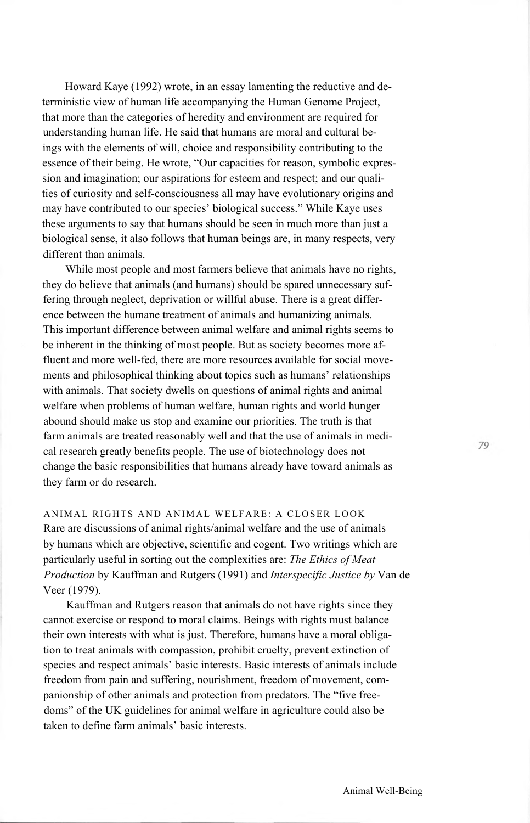Howard Kaye (1992) wrote, in an essay lamenting the reductive and deterministic view of human life accompanying the Human Genome Project, that more than the categories of heredity and environment are required for understanding human life. He said that humans are moral and cultural beings with the elements of will, choice and responsibility contributing to the essence of their being. He wrote, "Our capacities for reason, symbolic expression and imagination; our aspirations for esteem and respect; and our qualities of curiosity and self-consciousness all may have evolutionary origins and may have contributed to our species' biological success." While Kaye uses these arguments to say that humans should be seen in much more than just a biological sense, it also follows that human beings are, in many respects, very different than animals.

While most people and most farmers believe that animals have no rights, they do believe that animals (and humans) should be spared unnecessary suffering through neglect, deprivation or willful abuse. There is a great difference between the humane treatment of animals and humanizing animals. This important difference between animal welfare and animal rights seems to be inherent in the thinking of most people. But as society becomes more affluent and more well-fed, there are more resources available for social movements and philosophical thinking about topics such as humans' relationships with animals. That society dwells on questions of animal rights and animal welfare when problems of human welfare, human rights and world hunger abound should make us stop and examine our priorities. The truth is that farm animals are treated reasonably well and that the use of animals in medical research greatly benefits people. The use of biotechnology does not change the basic responsibilities that humans already have toward animals as they farm or do research.

ANIMAL RIGHTS AND ANIMAL WELFARE: A CLOSER LOOK Rare are discussions of animal rights/animal welfare and the use of animals by humans which are objective, scientific and cogent. Two writings which are particularly useful in sorting out the complexities are: *The Ethics of Meat Production* by Kauffman and Rutgers (1991) and *Interspecific Justice by* Van de Veer (1979).

Kauffman and Rutgers reason that animals do not have rights since they cannot exercise or respond to moral claims. Beings with rights must balance their own interests with what is just. Therefore, humans have a moral obligation to treat animals with compassion, prohibit cruelty, prevent extinction of species and respect animals' basic interests. Basic interests of animals include freedom from pain and suffering, nourishment, freedom of movement, companionship of other animals and protection from predators. The "five freedoms" of the UK guidelines for animal welfare in agriculture could also be taken to define farm animals' basic interests.

79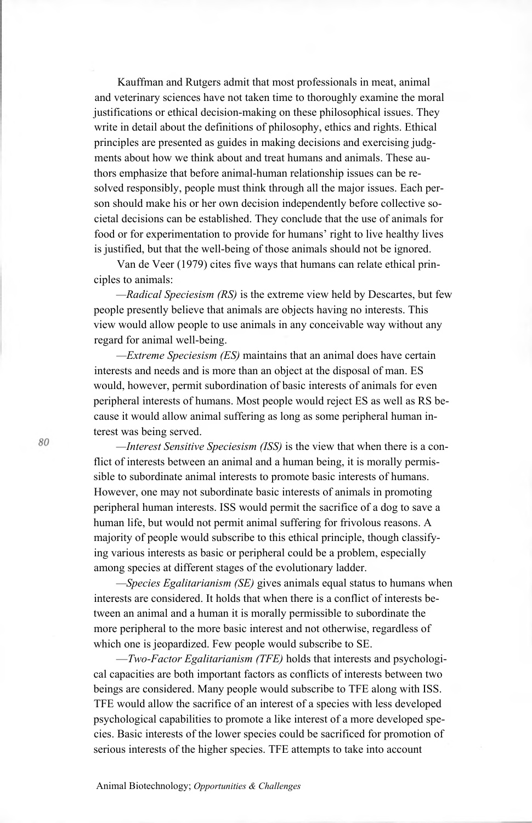Kauffman and Rutgers admit that most professionals in meat, animal and veterinary sciences have not taken time to thoroughly examine the moral justifications or ethical decision-making on these philosophical issues. They write in detail about the definitions of philosophy, ethics and rights. Ethical principles are presented as guides in making decisions and exercising judgments about how we think about and treat humans and animals. These authors emphasize that before animal-human relationship issues can be resolved responsibly, people must think through all the major issues. Each person should make his or her own decision independently before collective societal decisions can be established. They conclude that the use of animals for food or for experimentation to provide for humans' right to live healthy lives is justified, but that the well-being of those animals should not be ignored.

Van de Veer (1979) cites five ways that humans can relate ethical principles to animals:

*—Radical Speciesism (RS)* is the extreme view held by Descartes, but few people presently believe that animals are objects having no interests. This view would allow people to use animals in any conceivable way without any regard for animal well-being.

*—Extreme Speciesism (ES)* maintains that an animal does have certain interests and needs and is more than an object at the disposal of man. ES would, however, permit subordination of basic interests of animals for even peripheral interests of humans. Most people would reject ES as well as RS because it would allow animal suffering as long as some peripheral human interest was being served.

*—Interest Sensitive Speciesism (ISS)* is the view that when there is a conflict of interests between an animal and a human being, it is morally permissible to subordinate animal interests to promote basic interests of humans. However, one may not subordinate basic interests of animals in promoting peripheral human interests. ISS would permit the sacrifice of a dog to save a human life, but would not permit animal suffering for frivolous reasons. A majority of people would subscribe to this ethical principle, though classifying various interests as basic or peripheral could be a problem, especially among species at different stages of the evolutionary ladder.

*—Species Egalitarianism (SE)* gives animals equal status to humans when interests are considered. It holds that when there is a conflict of interests between an animal and a human it is morally permissible to subordinate the more peripheral to the more basic interest and not otherwise, regardless of which one is jeopardized. Few people would subscribe to SE.

—*Two-Factor Egalitarianism (TFE)* holds that interests and psychological capacities are both important factors as conflicts of interests between two beings are considered. Many people would subscribe to TFE along with ISS. TFE would allow the sacrifice of an interest of a species with less developed psychological capabilities to promote a like interest of a more developed species. Basic interests of the lower species could be sacrificed for promotion of serious interests of the higher species. TFE attempts to take into account

80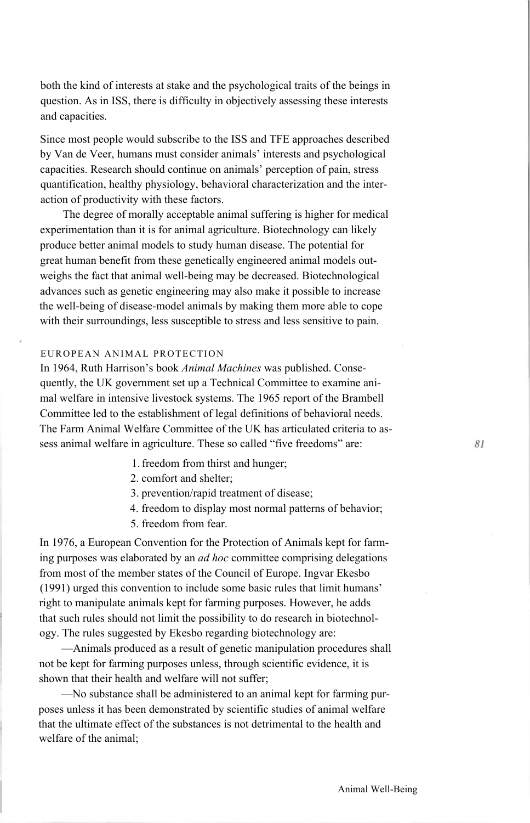both the kind of interests at stake and the psychological traits of the beings in question. As in ISS, there is difficulty in objectively assessing these interests and capacities.

Since most people would subscribe to the ISS and TFE approaches described by Van de Veer, humans must consider animals' interests and psychological capacities. Research should continue on animals' perception of pain, stress quantification, healthy physiology, behavioral characterization and the interaction of productivity with these factors.

The degree of morally acceptable animal suffering is higher for medical experimentation than it is for animal agriculture. Biotechnology can likely produce better animal models to study human disease. The potential for great human benefit from these genetically engineered animal models outweighs the fact that animal well-being may be decreased. Biotechnological advances such as genetic engineering may also make it possible to increase the well-being of disease-model animals by making them more able to cope with their surroundings, less susceptible to stress and less sensitive to pain.

# EUROPEAN ANIMAL PROTECTION

In 1964, Ruth Harrison's book *Animal Machines* was published. Consequently, the UK government set up a Technical Committee to examine animal welfare in intensive livestock systems. The 1965 report of the Brambell Committee led to the establishment of legal definitions of behavioral needs. The Farm Animal Welfare Committee of the UK has articulated criteria to assess animal welfare in agriculture. These so called "five freedoms" are:

- 1. freedom from thirst and hunger;
- 2. comfort and shelter;
- 3. prevention/rapid treatment of disease;
- 4. freedom to display most normal patterns of behavior;
- 5. freedom from fear.

In 1976, a European Convention for the Protection of Animals kept for farming purposes was elaborated by an *ad hoc* committee comprising delegations from most of the member states of the Council of Europe. Ingvar Ekesbo (1991) urged this convention to include some basic rules that limit humans' right to manipulate animals kept for farming purposes. However, he adds that such rules should not limit the possibility to do research in biotechnology. The rules suggested by Ekesbo regarding biotechnology are:

—Animals produced as a result of genetic manipulation procedures shall not be kept for farming purposes unless, through scientific evidence, it is shown that their health and welfare will not suffer;

—No substance shall be administered to an animal kept for farming purposes unless it has been demonstrated by scientific studies of animal welfare that the ultimate effect of the substances is not detrimental to the health and welfare of the animal;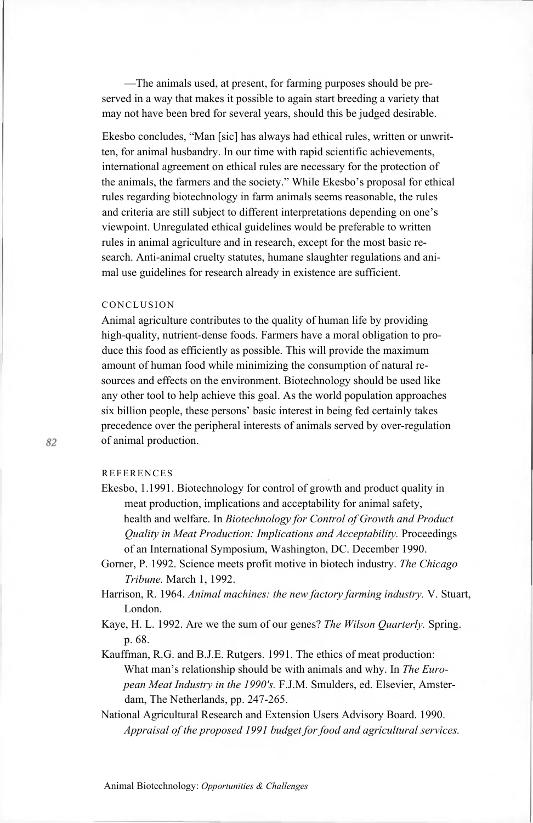—The animals used, at present, for farming purposes should be preserved in a way that makes it possible to again start breeding a variety that may not have been bred for several years, should this be judged desirable.

Ekesbo concludes, "Man [sic] has always had ethical rules, written or unwritten, for animal husbandry. In our time with rapid scientific achievements, international agreement on ethical rules are necessary for the protection of the animals, the farmers and the society." While Ekesbo's proposal for ethical rules regarding biotechnology in farm animals seems reasonable, the rules and criteria are still subject to different interpretations depending on one's viewpoint. Unregulated ethical guidelines would be preferable to written rules in animal agriculture and in research, except for the most basic research. Anti-animal cruelty statutes, humane slaughter regulations and animal use guidelines for research already in existence are sufficient.

#### CONCLUSION

Animal agriculture contributes to the quality of human life by providing high-quality, nutrient-dense foods. Farmers have a moral obligation to produce this food as efficiently as possible. This will provide the maximum amount of human food while minimizing the consumption of natural resources and effects on the environment. Biotechnology should be used like any other tool to help achieve this goal. As the world population approaches six billion people, these persons' basic interest in being fed certainly takes precedence over the peripheral interests of animals served by over-regulation of animal production.

## **REFERENCES**

- Ekesbo, 1.1991. Biotechnology for control of growth and product quality in meat production, implications and acceptability for animal safety, health and welfare. In *Biotechnology for Control of Growth and Product Quality in Meat Production: Implications and Acceptability.* Proceedings of an International Symposium, Washington, DC. December 1990.
- Gorner, P. 1992. Science meets profit motive in biotech industry. *The Chicago Tribune.* March 1, 1992.
- Harrison, R. 1964. *Animal machines: the new factory farming industry.* V. Stuart, London.
- Kaye, H. L. 1992. Are we the sum of our genes? *The Wilson Quarterly.* Spring. p. 68.
- Kauffman, R.G. and B.J.E. Rutgers. 1991. The ethics of meat production: What man's relationship should be with animals and why. In *The European Meat Industry in the 1990's.* F.J.M. Smulders, ed. Elsevier, Amsterdam, The Netherlands, pp. 247-265.
- National Agricultural Research and Extension Users Advisory Board. 1990. *Appraisal of the proposed 1991 budget for food and agricultural services.*

Animal Biotechnology: *Opportunities & Challenges*

82